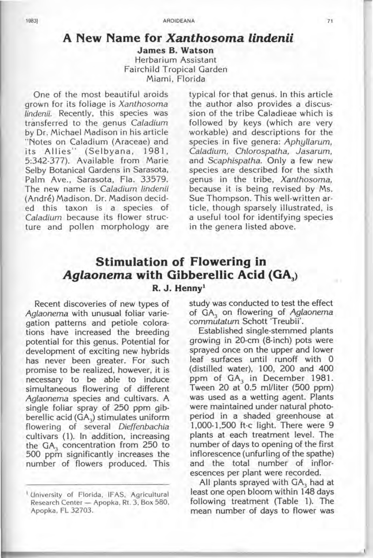## **A New Name for Xanthosoma lindenii**

**James B. Watson**  Herbarium Assistant Fairchild Tropical Garden Miami, Florida

One of the most beautiful aroids grown for its foliage is Xanthosoma lindenii. Recently, this species was transferred to the genus Caladium by Dr. Michael Madison in his article "Notes on Caladium (Araceae) and its Allies" (Selbyana, 1981, 5:342-377). Available from Marie Selby Botanical Gardens in Sarasota, Palm Ave., Sarasota, Fla. 33579. The new name is Caladium lindenii (Andre) Madison. Dr. Madison decided this taxon is a species of Caladium because its flower structure and pollen morphology are typical for'that genus. In this article the author also provides a discussion of the tribe Caladieae which is followed by keys (which are very workable) and descriptions for the species in five genera: Aphyllarum, Caladium, Chlorospatha, Jasarum, and Scaphispatha. Only a few new species are described for the sixth genus in the tribe, Xanthosoma, because it is being revised by Ms. Sue Thompson. This well-written article, though sparsely illustrated, is a useful tool for identifying species in the genera listed above.

## **Stimulation of Flowering in Aglaonema with Gibberellic Acid (GA,) R. J. Hennyl**

Recent discoveries of new types of Aglaonema with unusual foliar variegation patterns and petiole colorations have increased the breeding potential for this genus. Potential for development of exciting new hybrids has never been greater. For such promise to be realized, however, it is necessary to be able to induce simultaneous flowering of different Aglaonema species and cultivars. A single foliar spray of 250 ppm gibberellic acid (GA<sub>3</sub>) stimulates uniform flowering of several Dieffenbachia cultivars (1). In addition, increasing the  $GA<sub>3</sub>$  concentration from 250 to 500 ppm significantly increases the number of flowers produced. This

study was conducted to test the effect of  $GA_3$  on flowering of Aglaonema commutatum Schott 'Treubii'.

Established single-stemmed plants growing in 20-cm (8-inch) pots were sprayed once on the upper and lower leaf surfaces until runoff with 0 (distilled water), 100, 200 and 400 ppm of GA<sub>3</sub> in December 1981. Tween 20 at 0.5 ml/liter (500 ppm) was used as a wetting agent. Plants were maintained under natural photoperiod in a shaded greenhouse at 1,000-1,500 ft-c light. There were 9 plants at each treatment level. The number of days to opening of the first inflorescence (unfurling of the spathe) and the total number of inflorescences per plant were recorded.

All plants sprayed with GA3 had at least one open bloom within 148 days following treatment (Table 1). The mean number of days to flower was

<sup>1</sup> University of Florida, IF AS, Agricultural Research Center - Apopka, Rt. 3, Box 580, Apopka, FL 32703.